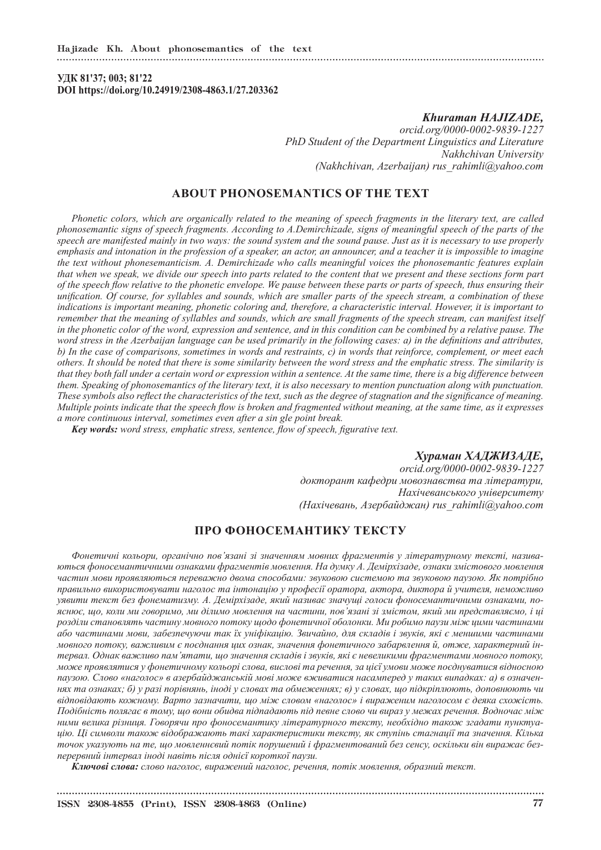**УДК 81'37; 003; 81'22 DOI https://doi.org/10.24919/2308-4863.1/27.203362**

### *Khuraman HAJIZADE,*

*orcid.org/0000-0002-9839-1227 PhD Student of the Department Linguistics and Literature Nakhchivan University (Nakhchivan, Azerbaijan) rus\_rahimli@yahoo.com*

# **ABOUT PHONOSEMANTICS OF THE TEXT**

*Phonetic colors, which are organically related to the meaning of speech fragments in the literary text, are called phonosemantic signs of speech fragments. According to A.Demirchizade, signs of meaningful speech of the parts of the speech are manifested mainly in two ways: the sound system and the sound pause. Just as it is necessary to use properly emphasis and intonation in the profession of a speaker, an actor, an announcer, and a teacher it is impossible to imagine the text without phonesemanticism. A. Demirchizade who calls meaningful voices the phonosemantic features explain that when we speak, we divide our speech into parts related to the content that we present and these sections form part of the speech flow relative to the phonetic envelope. We pause between these parts or parts of speech, thus ensuring their unification. Of course, for syllables and sounds, which are smaller parts of the speech stream, a combination of these indications is important meaning, phonetic coloring and, therefore, a characteristic interval. However, it is important to remember that the meaning of syllables and sounds, which are small fragments of the speech stream, can manifest itself in the phonetic color of the word, expression and sentence, and in this condition can be combined by a relative pause. The word stress in the Azerbaijan language can be used primarily in the following cases: a) in the definitions and attributes, b) In the case of comparisons, sometimes in words and restraints, c) in words that reinforce, complement, or meet each others. It should be noted that there is some similarity between the word stress and the emphatic stress. The similarity is that they both fall under a certain word or expression within a sentence. At the same time, there is a big difference between them. Speaking of phonosemantics of the literary text, it is also necessary to mention punctuation along with punctuation. These symbols also reflect the characteristics of the text, such as the degree of stagnation and the significance of meaning. Multiple points indicate that the speech flow is broken and fragmented without meaning, at the same time, as it expresses a more continuous interval, sometimes even after a sin gle point break.* 

*Key words: word stress, emphatic stress, sentence, flow of speech, figurative text.*

## *Хураман ХАДЖИЗАДЕ,*

*orcid.org/0000-0002-9839-1227 докторант кафедри мовознавства та літератури, Нахічеванського університету (Нахічевань, Азербайджан) rus\_rahimli@yahoo.com*

## **ПРО ФОНОСЕМАНТИКУ ТЕКСТУ**

*Фонетичні кольори, органічно пов'язані зі значенням мовних фрагментів у літературному тексті, називаються фоносемантичними ознаками фрагментів мовлення. На думку А. Демірхізаде, ознаки змістового мовлення частин мови проявляються переважно двома способами: звуковою системою та звуковою паузою. Як потрібно правильно використовувати наголос та інтонацію у професії оратора, актора, диктора й учителя, неможливо уявити текст без фонематизму. А. Демірхізаде, який називає значущі голоси фоносемантичними ознаками, пояснює, що, коли ми говоримо, ми ділимо мовлення на частини, пов'язані зі змістом, який ми представляємо, і ці розділи становлять частину мовного потоку щодо фонетичної оболонки. Ми робимо паузи між цими частинами або частинами мови, забезпечуючи так їх уніфікацію. Звичайно, для складів і звуків, які є меншими частинами мовного потоку, важливим є поєднання цих ознак, значення фонетичного забарвлення й, отже, характерний інтервал. Однак важливо пам'ятати, що значення складів і звуків, які є невеликими фрагментами мовного потоку, може проявлятися у фонетичному кольорі слова, вислові та речення, за цієї умови може поєднуватися відносною паузою. Слово «наголос» в азербайджанській мові може вживатися насамперед у таких випадках: а) в означеннях та ознаках; б) у разі порівнянь, іноді у словах та обмеженнях; в) у словах, що підкріплюють, доповнюють чи відповідають кожному. Варто зазначити, що між словом «наголос» і вираженим наголосом є деяка схожість. Подібність полягає в тому, що вони обидва підпадають під певне слово чи вираз у межах речення. Водночас між ними велика різниця. Говорячи про фоносемантику літературного тексту, необхідно також згадати пунктуацію. Ці символи також відображають такі характеристики тексту, як ступінь стагнації та значення. Кілька точок указують на те, що мовленнєвий потік порушений і фрагментований без сенсу, оскільки він виражає безперервний інтервал іноді навіть після однієї короткої паузи.*

*Ключові слова: слово наголос, виражений наголос, речення, потік мовлення, образний текст.*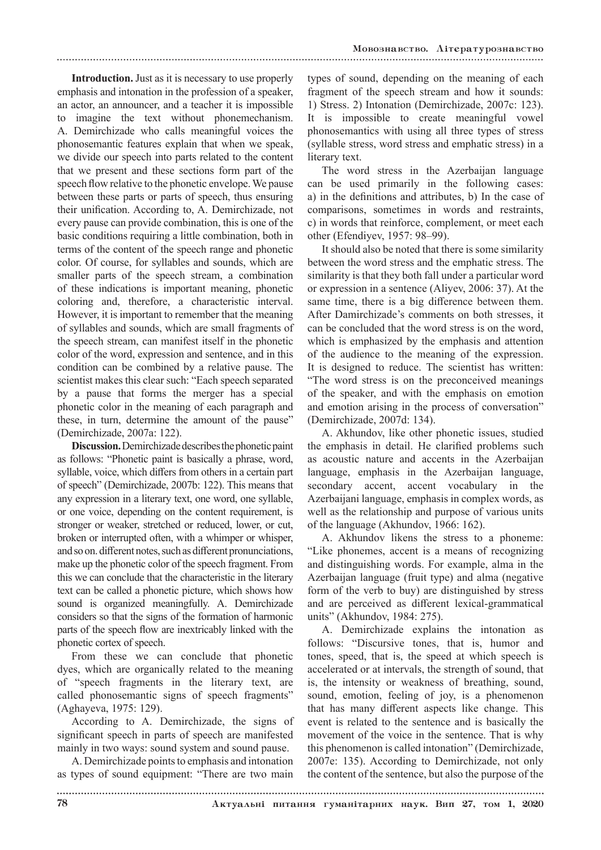**Introduction.** Just as it is necessary to use properly emphasis and intonation in the profession of a speaker, an actor, an announcer, and a teacher it is impossible to imagine the text without phonemechanism. A. Demirchizade who calls meaningful voices the phonosemantic features explain that when we speak, we divide our speech into parts related to the content that we present and these sections form part of the speech flow relative to the phonetic envelope. We pause between these parts or parts of speech, thus ensuring their unification. According to, A. Demirchizade, not every pause can provide combination, this is one of the basic conditions requiring a little combination, both in terms of the content of the speech range and phonetic color. Of course, for syllables and sounds, which are smaller parts of the speech stream, a combination of these indications is important meaning, phonetic coloring and, therefore, a characteristic interval. However, it is important to remember that the meaning of syllables and sounds, which are small fragments of the speech stream, can manifest itself in the phonetic color of the word, expression and sentence, and in this condition can be combined by a relative pause. The scientist makes this clear such: "Each speech separated by a pause that forms the merger has a special phonetic color in the meaning of each paragraph and these, in turn, determine the amount of the pause" (Demirchizade, 2007a: 122).

**Discussion.** Demirchizade describes the phonetic paint as follows: "Phonetic paint is basically a phrase, word, syllable, voice, which differs from others in a certain part of speech" (Demirchizade, 2007b: 122). This means that any expression in a literary text, one word, one syllable, or one voice, depending on the content requirement, is stronger or weaker, stretched or reduced, lower, or cut, broken or interrupted often, with a whimper or whisper, and so on. different notes, such as different pronunciations, make up the phonetic color of the speech fragment. From this we can conclude that the characteristic in the literary text can be called a phonetic picture, which shows how sound is organized meaningfully. A. Demirchizade considers so that the signs of the formation of harmonic parts of the speech flow are inextricably linked with the phonetic cortex of speech.

From these we can conclude that phonetic dyes, which are organically related to the meaning of "speech fragments in the literary text, are called phonosemantic signs of speech fragments" (Aghayeva, 1975: 129).

According to A. Demirchizade, the signs of significant speech in parts of speech are manifested mainly in two ways: sound system and sound pause.

A. Demirchizade points to emphasis and intonation as types of sound equipment: "There are two main

types of sound, depending on the meaning of each fragment of the speech stream and how it sounds: 1) Stress. 2) Intonation (Demirchizade, 2007c: 123). It is impossible to create meaningful vowel phonosemantics with using all three types of stress (syllable stress, word stress and emphatic stress) in a literary text.

The word stress in the Azerbaijan language can be used primarily in the following cases: a) in the definitions and attributes, b) In the case of comparisons, sometimes in words and restraints, c) in words that reinforce, complement, or meet each other (Efendiyev, 1957: 98–99).

It should also be noted that there is some similarity between the word stress and the emphatic stress. The similarity is that they both fall under a particular word or expression in a sentence (Aliyev, 2006: 37). At the same time, there is a big difference between them. After Damirchizade's comments on both stresses, it can be concluded that the word stress is on the word, which is emphasized by the emphasis and attention of the audience to the meaning of the expression. It is designed to reduce. The scientist has written: "The word stress is on the preconceived meanings of the speaker, and with the emphasis on emotion and emotion arising in the process of conversation" (Demirchizade, 2007d: 134).

A. Akhundov, like other phonetic issues, studied the emphasis in detail. He clarified problems such as acoustic nature and accents in the Azerbaijan language, emphasis in the Azerbaijan language, secondary accent, accent vocabulary in the Azerbaijani language, emphasis in complex words, as well as the relationship and purpose of various units of the language (Akhundov, 1966: 162).

A. Akhundov likens the stress to a phoneme: "Like phonemes, accent is a means of recognizing and distinguishing words. For example, alma in the Azerbaijan language (fruit type) and alma (negative form of the verb to buy) are distinguished by stress and are perceived as different lexical-grammatical units" (Akhundov, 1984: 275).

A. Demirchizade explains the intonation as follows: "Discursive tones, that is, humor and tones, speed, that is, the speed at which speech is accelerated or at intervals, the strength of sound, that is, the intensity or weakness of breathing, sound, sound, emotion, feeling of joy, is a phenomenon that has many different aspects like change. This event is related to the sentence and is basically the movement of the voice in the sentence. That is why this phenomenon is called intonation" (Demirchizade, 2007e: 135). According to Demirchizade, not only the content of the sentence, but also the purpose of the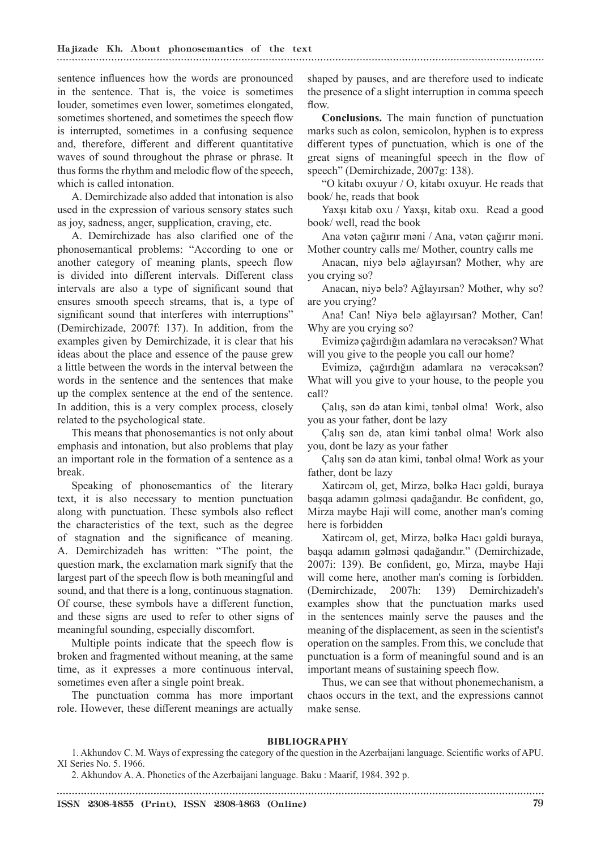sentence influences how the words are pronounced in the sentence. That is, the voice is sometimes louder, sometimes even lower, sometimes elongated, sometimes shortened, and sometimes the speech flow is interrupted, sometimes in a confusing sequence and, therefore, different and different quantitative waves of sound throughout the phrase or phrase. It thus forms the rhythm and melodic flow of the speech, which is called intonation.

A. Demirchizade also added that intonation is also used in the expression of various sensory states such as joy, sadness, anger, supplication, craving, etc.

A. Demirchizade has also clarified one of the phonosemantical problems: "According to one or another category of meaning plants, speech flow is divided into different intervals. Different class intervals are also a type of significant sound that ensures smooth speech streams, that is, a type of significant sound that interferes with interruptions" (Demirchizade, 2007f: 137). In addition, from the examples given by Demirchizade, it is clear that his ideas about the place and essence of the pause grew a little between the words in the interval between the words in the sentence and the sentences that make up the complex sentence at the end of the sentence. In addition, this is a very complex process, closely related to the psychological state.

This means that phonosemantics is not only about emphasis and intonation, but also problems that play an important role in the formation of a sentence as a break.

Speaking of phonosemantics of the literary text, it is also necessary to mention punctuation along with punctuation. These symbols also reflect the characteristics of the text, such as the degree of stagnation and the significance of meaning. A. Demirchizadeh has written: "The point, the question mark, the exclamation mark signify that the largest part of the speech flow is both meaningful and sound, and that there is a long, continuous stagnation. Of course, these symbols have a different function, and these signs are used to refer to other signs of meaningful sounding, especially discomfort.

Multiple points indicate that the speech flow is broken and fragmented without meaning, at the same time, as it expresses a more continuous interval, sometimes even after a single point break.

The punctuation comma has more important role. However, these different meanings are actually

shaped by pauses, and are therefore used to indicate the presence of a slight interruption in comma speech flow.

**Conclusions.** The main function of punctuation marks such as colon, semicolon, hyphen is to express different types of punctuation, which is one of the great signs of meaningful speech in the flow of speech" (Demirchizade, 2007g: 138).

"O kitabı oxuyur / O, kitabı oxuyur. He reads that book/ he, reads that book

Yaxşı kitab oxu / Yaxşı, kitab oxu. Read a good book/ well, read the book

Ana vətən çağırır məni / Ana, vətən çağırır məni. Mother country calls me/ Mother, country calls me

Anacan, niyə belə ağlayırsan? Mother, why are you crying so?

Anacan, niyə belə? Ağlayırsan? Mother, why so? are you crying?

Ana! Can! Niyə belə ağlayırsan? Mother, Can! Why are you crying so?

Evimizə çağırdığın adamlara nə verəcəksən? What will you give to the people you call our home?

Evimizə, çağırdığın adamlara nə verəcəksən? What will you give to your house, to the people you call?

Çalış, sən də atan kimi, tənbəl olma! Work, also you as your father, dont be lazy

Çalış sən də, atan kimi tənbəl olma! Work also you, dont be lazy as your father

Çalış sən də atan kimi, tənbəl olma! Work as your father, dont be lazy

Xatircəm ol, get, Mirzə, bəlkə Hacı gəldi, buraya başqa adamın gəlməsi qadağandır. Be confident, go, Mirza maybe Haji will come, another man's coming here is forbidden

Xatircəm ol, get, Mirzə, bəlkə Hacı gəldi buraya, başqa adamın gəlməsi qadağandır." (Demirchizade, 2007i: 139). Be confident, go, Mirza, maybe Haji will come here, another man's coming is forbidden. (Demirchizade, 2007h: 139) Demirchizadeh's examples show that the punctuation marks used in the sentences mainly serve the pauses and the meaning of the displacement, as seen in the scientist's operation on the samples. From this, we conclude that punctuation is a form of meaningful sound and is an important means of sustaining speech flow.

Thus, we can see that without phonemechanism, a chaos occurs in the text, and the expressions cannot make sense.

#### **BIBLIOGRAPHY**

2. Akhundov A. A. Phonetics of the Azerbaijani language. Baku : Maarif, 1984. 392 p.

<sup>1.</sup> Akhundov C. M. Ways of expressing the category of the question in the Azerbaijani language. Scientific works of APU. XI Series No. 5. 1966.